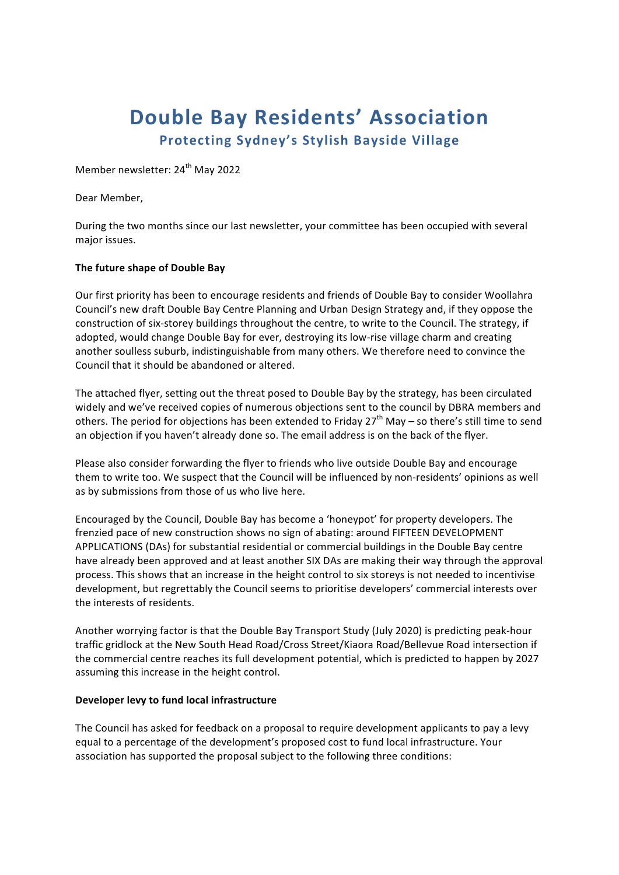# **Double Bay Residents' Association Protecting Sydney's Stylish Bayside Village**

Member newsletter: 24<sup>th</sup> May 2022

Dear Member,

During the two months since our last newsletter, your committee has been occupied with several major issues.

## **The future shape of Double Bay**

Our first priority has been to encourage residents and friends of Double Bay to consider Woollahra Council's new draft Double Bay Centre Planning and Urban Design Strategy and, if they oppose the construction of six-storey buildings throughout the centre, to write to the Council. The strategy, if adopted, would change Double Bay for ever, destroying its low-rise village charm and creating another soulless suburb, indistinguishable from many others. We therefore need to convince the Council that it should be abandoned or altered.

The attached flyer, setting out the threat posed to Double Bay by the strategy, has been circulated widely and we've received copies of numerous objections sent to the council by DBRA members and others. The period for objections has been extended to Friday  $27<sup>th</sup>$  May – so there's still time to send an objection if you haven't already done so. The email address is on the back of the flyer.

Please also consider forwarding the flyer to friends who live outside Double Bay and encourage them to write too. We suspect that the Council will be influenced by non-residents' opinions as well as by submissions from those of us who live here.

Encouraged by the Council, Double Bay has become a 'honeypot' for property developers. The frenzied pace of new construction shows no sign of abating: around FIFTEEN DEVELOPMENT APPLICATIONS (DAs) for substantial residential or commercial buildings in the Double Bay centre have already been approved and at least another SIX DAs are making their way through the approval process. This shows that an increase in the height control to six storeys is not needed to incentivise development, but regrettably the Council seems to prioritise developers' commercial interests over the interests of residents.

Another worrying factor is that the Double Bay Transport Study (July 2020) is predicting peak-hour traffic gridlock at the New South Head Road/Cross Street/Kiaora Road/Bellevue Road intersection if the commercial centre reaches its full development potential, which is predicted to happen by 2027 assuming this increase in the height control.

## **Developer levy to fund local infrastructure**

The Council has asked for feedback on a proposal to require development applicants to pay a levy equal to a percentage of the development's proposed cost to fund local infrastructure. Your association has supported the proposal subject to the following three conditions: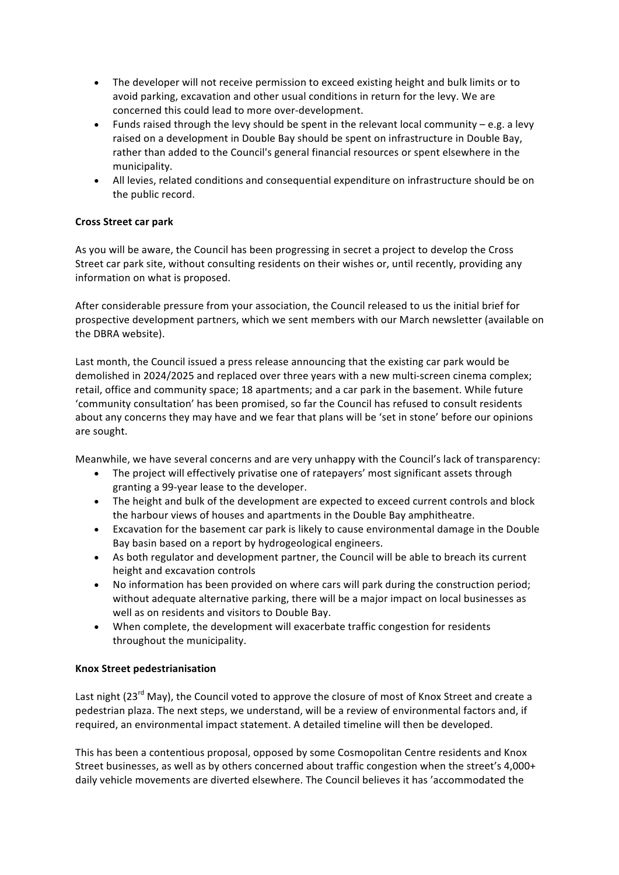- The developer will not receive permission to exceed existing height and bulk limits or to avoid parking, excavation and other usual conditions in return for the levy. We are concerned this could lead to more over-development.
- Funds raised through the levy should be spent in the relevant local community  $-e.g.$  a levy raised on a development in Double Bay should be spent on infrastructure in Double Bay, rather than added to the Council's general financial resources or spent elsewhere in the municipality.
- All levies, related conditions and consequential expenditure on infrastructure should be on the public record.

## **Cross Street car park**

As you will be aware, the Council has been progressing in secret a project to develop the Cross Street car park site, without consulting residents on their wishes or, until recently, providing any information on what is proposed.

After considerable pressure from your association, the Council released to us the initial brief for prospective development partners, which we sent members with our March newsletter (available on the DBRA website).

Last month, the Council issued a press release announcing that the existing car park would be demolished in 2024/2025 and replaced over three years with a new multi-screen cinema complex; retail, office and community space; 18 apartments; and a car park in the basement. While future 'community consultation' has been promised, so far the Council has refused to consult residents about any concerns they may have and we fear that plans will be 'set in stone' before our opinions are sought.

Meanwhile, we have several concerns and are very unhappy with the Council's lack of transparency:

- The project will effectively privatise one of ratepayers' most significant assets through granting a 99-year lease to the developer.
- The height and bulk of the development are expected to exceed current controls and block the harbour views of houses and apartments in the Double Bay amphitheatre.
- Excavation for the basement car park is likely to cause environmental damage in the Double Bay basin based on a report by hydrogeological engineers.
- As both regulator and development partner, the Council will be able to breach its current height and excavation controls
- No information has been provided on where cars will park during the construction period; without adequate alternative parking, there will be a major impact on local businesses as well as on residents and visitors to Double Bay.
- When complete, the development will exacerbate traffic congestion for residents throughout the municipality.

# **Knox Street pedestrianisation**

Last night (23<sup>rd</sup> May), the Council voted to approve the closure of most of Knox Street and create a pedestrian plaza. The next steps, we understand, will be a review of environmental factors and, if required, an environmental impact statement. A detailed timeline will then be developed.

This has been a contentious proposal, opposed by some Cosmopolitan Centre residents and Knox Street businesses, as well as by others concerned about traffic congestion when the street's 4,000+ daily vehicle movements are diverted elsewhere. The Council believes it has 'accommodated the